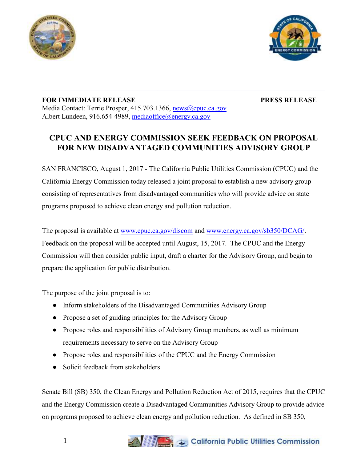



## **FOR IMMEDIATE RELEASE PRESS RELEASE** Media Contact: Terrie Prosper, 415.703.1366, [news@cpuc.ca.gov](mailto:news@cpuc.ca.gov) Albert Lundeen, 916.654-4989, [mediaoffice@energy.ca.gov](mailto:mediaoffice@energy.ca.gov)

## **CPUC AND ENERGY COMMISSION SEEK FEEDBACK ON PROPOSAL FOR NEW DISADVANTAGED COMMUNITIES ADVISORY GROUP**

 $\mathcal{L}_\mathcal{L} = \mathcal{L}_\mathcal{L} = \mathcal{L}_\mathcal{L} = \mathcal{L}_\mathcal{L} = \mathcal{L}_\mathcal{L} = \mathcal{L}_\mathcal{L} = \mathcal{L}_\mathcal{L} = \mathcal{L}_\mathcal{L} = \mathcal{L}_\mathcal{L} = \mathcal{L}_\mathcal{L} = \mathcal{L}_\mathcal{L} = \mathcal{L}_\mathcal{L} = \mathcal{L}_\mathcal{L} = \mathcal{L}_\mathcal{L} = \mathcal{L}_\mathcal{L} = \mathcal{L}_\mathcal{L} = \mathcal{L}_\mathcal{L}$ 

SAN FRANCISCO, August 1, 2017 - The California Public Utilities Commission (CPUC) and the California Energy Commission today released a joint proposal to establish a new advisory group consisting of representatives from disadvantaged communities who will provide advice on state programs proposed to achieve clean energy and pollution reduction.

The proposal is available at [www.cpuc.ca.gov/discom](http://www.cpuc.ca.gov/discom) and [www.energy.ca.gov/sb350/DCAG/.](http://www.energy.ca.gov/sb350/DCAG/) Feedback on the proposal will be accepted until August, 15, 2017. The CPUC and the Energy Commission will then consider public input, draft a charter for the Advisory Group, and begin to prepare the application for public distribution.

The purpose of the joint proposal is to:

- Inform stakeholders of the Disadvantaged Communities Advisory Group
- Propose a set of guiding principles for the Advisory Group
- Propose roles and responsibilities of Advisory Group members, as well as minimum requirements necessary to serve on the Advisory Group
- Propose roles and responsibilities of the CPUC and the Energy Commission
- Solicit feedback from stakeholders

Senate Bill (SB) 350, the Clean Energy and Pollution Reduction Act of 2015, requires that the CPUC and the Energy Commission create a Disadvantaged Communities Advisory Group to provide advice on programs proposed to achieve clean energy and pollution reduction. As defined in SB 350,